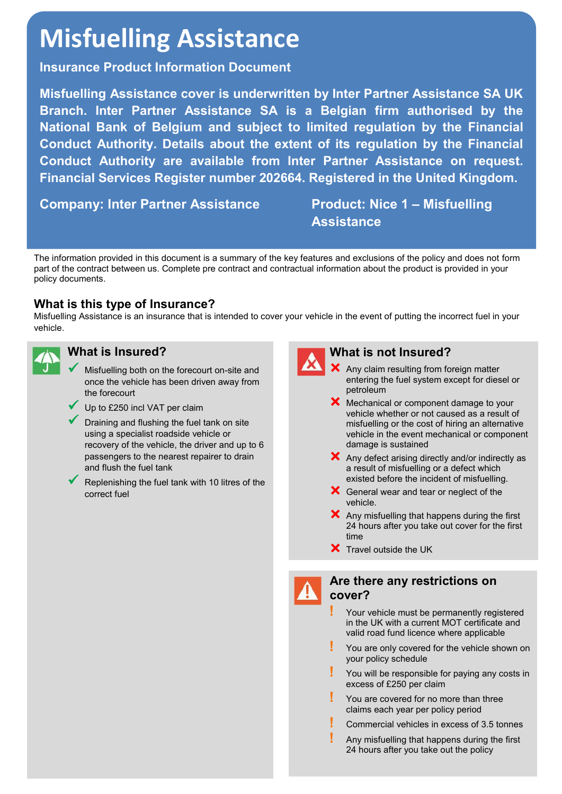# **Misfuelling Assistance**

**Insurance Product Information Document** 

**Misfuelling Assistance cover is underwritten by Inter Partner Assistance SA UK Branch. Inter Partner Assistance SA is a Belgian firm authorised by the National Bank of Belgium and subject to limited regulation by the Financial Conduct Authority. Details about the extent of its regulation by the Financial Conduct Authority are available from Inter Partner Assistance on request. Financial Services Register number 202664. Registered in the United Kingdom.** 

**Company: Inter Partner Assistance Product: Nice 1 - Misfuelling** 

# **Assistance**

The information provided in this document is a summary of the key features and exclusions of the policy and does not form part of the contract between us. Complete pre contract and contractual information about the product is provided in your policy documents.

# **What is this type of Insurance?**

Misfuelling Assistance is an insurance that is intended to cover your vehicle in the event of putting the incorrect fuel in your vehicle.



#### **What is Insured?**

- Misfuelling both on the forecourt on-site and once the vehicle has been driven away from the forecourt
- Up to £250 incl VAT per claim
- Draining and flushing the fuel tank on site using a specialist roadside vehicle or recovery of the vehicle, the driver and up to 6 passengers to the nearest repairer to drain and flush the fuel tank
- Replenishing the fuel tank with 10 litres of the correct fuel



## **What is not Insured?**

- $\blacktriangle$  Any claim resulting from foreign matter entering the fuel system except for diesel or petroleum
- **X** Mechanical or component damage to your vehicle whether or not caused as a result of misfuelling or the cost of hiring an alternative vehicle in the event mechanical or component damage is sustained
- $\mathsf{\times}$  Any defect arising directly and/or indirectly as a result of misfuelling or a defect which existed before the incident of misfuelling.
- **X** General wear and tear or neglect of the vehicle.
- $\blacktriangleright$  Any misfuelling that happens during the first 24 hours after you take out cover for the first time
- $\bm{\times}$  Travel outside the UK

## **Are there any restrictions on cover?**

- **!** Your vehicle must be permanently registered in the UK with a current MOT certificate and valid road fund licence where applicable
- **!** You are only covered for the vehicle shown on your policy schedule
- **!** You will be responsible for paying any costs in excess of £250 per claim
- **!** You are covered for no more than three claims each year per policy period
- **!** Commercial vehicles in excess of 3.5 tonnes
- **!** Any misfuelling that happens during the first 24 hours after you take out the policy